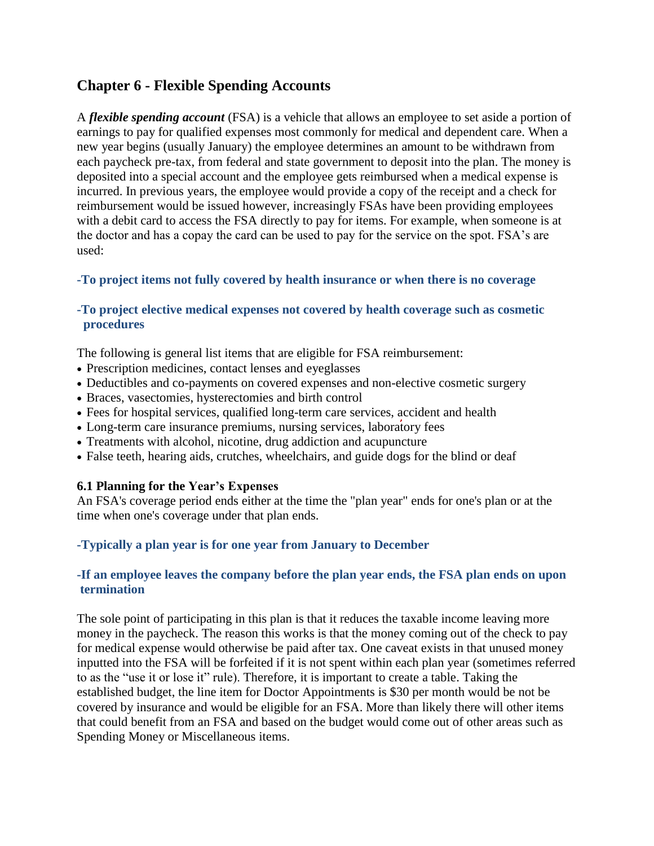# **Chapter 6 - Flexible Spending Accounts**

A *flexible spending account* (FSA) is a vehicle that allows an employee to set aside a portion of earnings to pay for qualified expenses most commonly for medical and dependent care. When a new year begins (usually January) the employee determines an amount to be withdrawn from each paycheck pre-tax, from federal and state government to deposit into the plan. The money is deposited into a special account and the employee gets reimbursed when a medical expense is incurred. In previous years, the employee would provide a copy of the receipt and a check for reimbursement would be issued however, increasingly FSAs have been providing employees with a debit card to access the FSA directly to pay for items. For example, when someone is at the doctor and has a copay the card can be used to pay for the service on the spot. FSA's are used:

## **-To project items not fully covered by health insurance or when there is no coverage**

## **-To project elective medical expenses not covered by health coverage such as cosmetic procedures**

The following is general list items that are eligible for FSA reimbursement:

- Prescription medicines, contact lenses and eyeglasses
- Deductibles and co-payments on covered expenses and non-elective cosmetic surgery
- Braces, vasectomies, hysterectomies and birth control
- Fees for hospital services, qualified long-term care services, accident and health
- Long-term care insurance premiums, nursing services, laboratory fees
- Treatments with alcohol, nicotine, drug addiction and acupuncture
- False teeth, hearing aids, crutches, wheelchairs, and guide dogs for the blind or deaf

## **6.1 Planning for the Year's Expenses**

An FSA's coverage period ends either at the time the "plan year" ends for one's plan or at the time when one's coverage under that plan ends.

## **-Typically a plan year is for one year from January to December**

## **-If an employee leaves the company before the plan year ends, the FSA plan ends on upon termination**

The sole point of participating in this plan is that it reduces the taxable income leaving more money in the paycheck. The reason this works is that the money coming out of the check to pay for medical expense would otherwise be paid after tax. One caveat exists in that unused money inputted into the FSA will be forfeited if it is not spent within each plan year (sometimes referred to as the "use it or lose it" rule). Therefore, it is important to create a table. Taking the established budget, the line item for Doctor Appointments is \$30 per month would be not be covered by insurance and would be eligible for an FSA. More than likely there will other items that could benefit from an FSA and based on the budget would come out of other areas such as Spending Money or Miscellaneous items.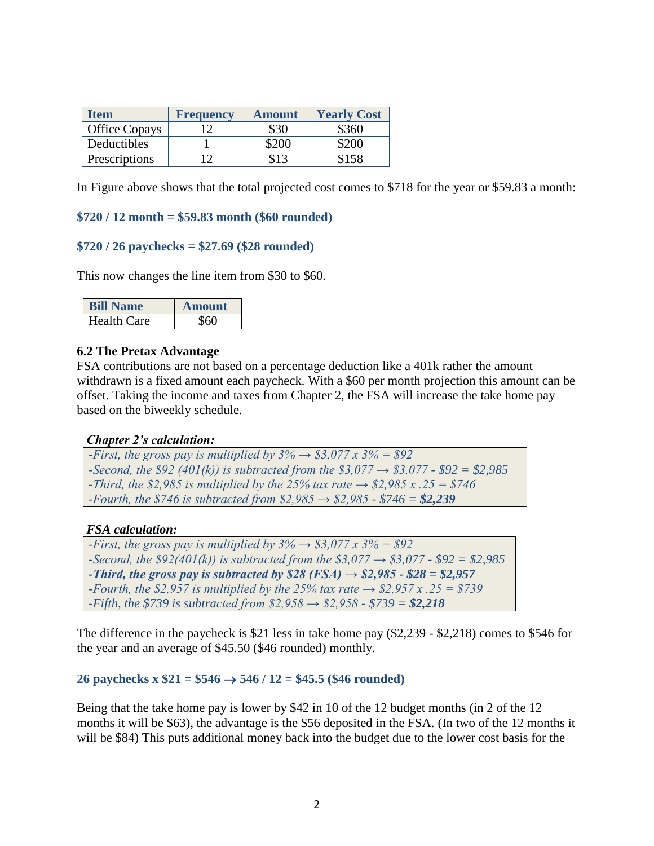| <b>Item</b>   | <b>Frequency</b> | <b>Amount</b> | <b>Yearly Cost</b> |
|---------------|------------------|---------------|--------------------|
| Office Copays |                  | \$30          | \$360              |
| Deductibles   |                  | \$200         | \$200              |
| Prescriptions | 1 າ              | \$13          | \$158              |

In Figure above shows that the total projected cost comes to \$718 for the year or \$59.83 a month:

### **\$720 / 12 month = \$59.83 month (\$60 rounded)**

### **\$720 / 26 paychecks = \$27.69 (\$28 rounded)**

This now changes the line item from \$30 to \$60.

| II Name            | <b>Amount</b> |
|--------------------|---------------|
| <b>Health Care</b> |               |

#### **6.2 The Pretax Advantage**

FSA contributions are not based on a percentage deduction like a 401k rather the amount withdrawn is a fixed amount each paycheck. With a \$60 per month projection this amount can be offset. Taking the income and taxes from Chapter 2, the FSA will increase the take home pay based on the biweekly schedule.

#### *Chapter 2's calculation:*

*-First, the gross pay is multiplied by*  $3\% \rightarrow $3,077 \times 3\% = $92$ *-Second, the \$92 (401(k)) is subtracted from the \$3,077 → \$3,077 - \$92 = \$2,985 -Third, the \$2,985 is multiplied by the 25% tax rate → \$2,985 x .25 = \$746 -Fourth, the \$746 is subtracted from \$2,985 → \$2,985 - \$746 = \$2,239*

#### *FSA calculation:*

*-First, the gross pay is multiplied by*  $3\% \rightarrow $3,077 \times 3\% = $92$ *-Second, the \$92(401(k)) is subtracted from the \$3,077 → \$3,077 - \$92 = \$2,985 -Third, the gross pay is subtracted by \$28 (FSA)*  $\rightarrow$  *\$2,985 - \$28 = \$2,957 -Fourth, the \$2,957 is multiplied by the 25% tax rate → \$2,957 x .25 = \$739 -Fifth, the \$739 is subtracted from \$2,958 → \$2,958 - \$739 = \$2,218*

The difference in the paycheck is \$21 less in take home pay (\$2,239 - \$2,218) comes to \$546 for the year and an average of \$45.50 (\$46 rounded) monthly.

### 26 paychecks x  $$21 = $546 \rightarrow 546 / 12 = $45.5$  (\$46 rounded)

Being that the take home pay is lower by \$42 in 10 of the 12 budget months (in 2 of the 12 months it will be \$63), the advantage is the \$56 deposited in the FSA. (In two of the 12 months it will be \$84) This puts additional money back into the budget due to the lower cost basis for the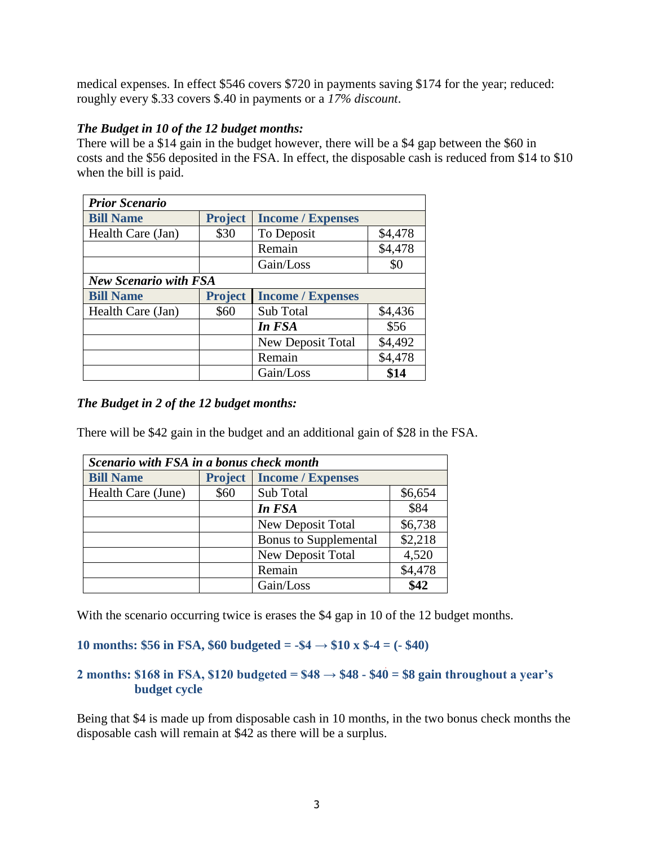medical expenses. In effect \$546 covers \$720 in payments saving \$174 for the year; reduced: roughly every \$.33 covers \$.40 in payments or a *17% discount*.

## *The Budget in 10 of the 12 budget months:*

There will be a \$14 gain in the budget however, there will be a \$4 gap between the \$60 in costs and the \$56 deposited in the FSA. In effect, the disposable cash is reduced from \$14 to \$10 when the bill is paid.

| <b>Prior Scenario</b>        |                |                          |         |
|------------------------------|----------------|--------------------------|---------|
| <b>Bill Name</b>             | <b>Project</b> | <b>Income / Expenses</b> |         |
| Health Care (Jan)            | \$30           | To Deposit               | \$4,478 |
|                              |                | Remain                   | \$4,478 |
|                              |                | Gain/Loss                | \$0     |
| <b>New Scenario with FSA</b> |                |                          |         |
| <b>Bill Name</b>             | <b>Project</b> | <b>Income / Expenses</b> |         |
| Health Care (Jan)            | \$60           | Sub Total                | \$4,436 |
|                              |                | In FSA                   | \$56    |
|                              |                | New Deposit Total        | \$4,492 |
|                              |                | Remain                   | \$4,478 |
|                              |                | Gain/Loss                | \$14    |

## *The Budget in 2 of the 12 budget months:*

There will be \$42 gain in the budget and an additional gain of \$28 in the FSA.

| Scenario with FSA in a bonus check month |                |                              |         |
|------------------------------------------|----------------|------------------------------|---------|
| <b>Bill Name</b>                         | <b>Project</b> | <b>Income / Expenses</b>     |         |
| Health Care (June)                       | \$60           | Sub Total                    | \$6,654 |
|                                          |                | In FSA                       | \$84    |
|                                          |                | New Deposit Total            | \$6,738 |
|                                          |                | <b>Bonus to Supplemental</b> | \$2,218 |
|                                          |                | <b>New Deposit Total</b>     | 4,520   |
|                                          |                | Remain                       | \$4,478 |
|                                          |                | Gain/Loss                    | \$42    |

With the scenario occurring twice is erases the \$4 gap in 10 of the 12 budget months.

## **10 months: \$56 in FSA, \$60 budgeted = -\$4 → \$10 x \$-4 = (- \$40)**

## **2 months: \$168 in FSA, \$120 budgeted = \$48 → \$48 - \$40 = \$8 gain throughout a year's budget cycle**

Being that \$4 is made up from disposable cash in 10 months, in the two bonus check months the disposable cash will remain at \$42 as there will be a surplus.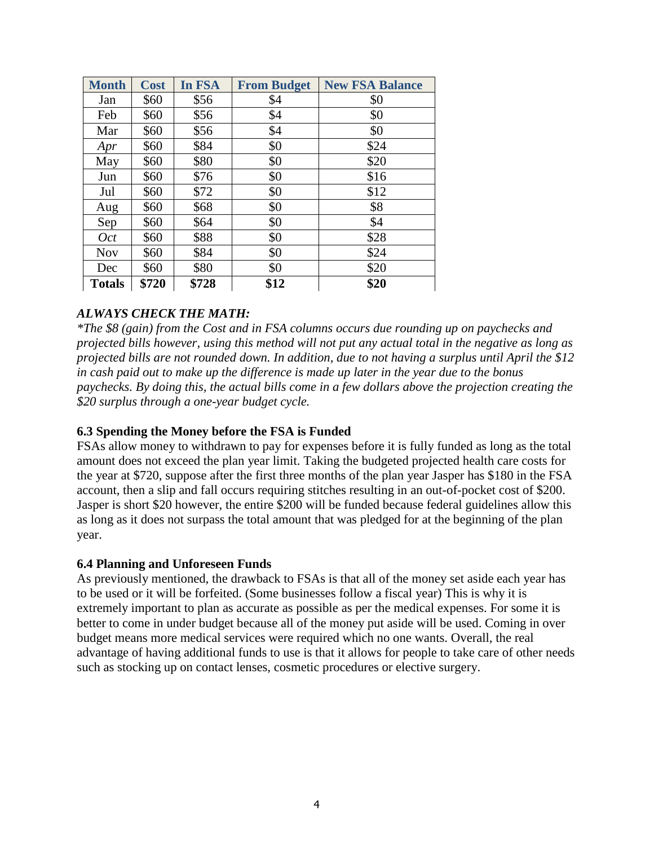| <b>Month</b>  | <b>Cost</b> | In FSA | <b>From Budget</b> | <b>New FSA Balance</b> |
|---------------|-------------|--------|--------------------|------------------------|
| Jan           | \$60        | \$56   | \$4                | \$0                    |
| Feb           | \$60        | \$56   | \$4                | \$0                    |
| Mar           | \$60        | \$56   | \$4                | \$0                    |
| Apr           | \$60        | \$84   | \$0                | \$24                   |
| May           | \$60        | \$80   | \$0                | \$20                   |
| Jun           | \$60        | \$76   | \$0                | \$16                   |
| Jul           | \$60        | \$72   | \$0                | \$12                   |
| Aug           | \$60        | \$68   | \$0                | \$8                    |
| Sep           | \$60        | \$64   | \$0                | \$4                    |
| <b>Oct</b>    | \$60        | \$88   | \$0                | \$28                   |
| <b>Nov</b>    | \$60        | \$84   | \$0                | \$24                   |
| Dec           | \$60        | \$80   | \$0                | \$20                   |
| <b>Totals</b> | \$720       | \$728  | \$12               | \$20                   |

## *ALWAYS CHECK THE MATH:*

*\*The \$8 (gain) from the Cost and in FSA columns occurs due rounding up on paychecks and projected bills however, using this method will not put any actual total in the negative as long as projected bills are not rounded down. In addition, due to not having a surplus until April the \$12 in cash paid out to make up the difference is made up later in the year due to the bonus paychecks. By doing this, the actual bills come in a few dollars above the projection creating the \$20 surplus through a one-year budget cycle.*

## **6.3 Spending the Money before the FSA is Funded**

FSAs allow money to withdrawn to pay for expenses before it is fully funded as long as the total amount does not exceed the plan year limit. Taking the budgeted projected health care costs for the year at \$720, suppose after the first three months of the plan year Jasper has \$180 in the FSA account, then a slip and fall occurs requiring stitches resulting in an out-of-pocket cost of \$200. Jasper is short \$20 however, the entire \$200 will be funded because federal guidelines allow this as long as it does not surpass the total amount that was pledged for at the beginning of the plan year.

### **6.4 Planning and Unforeseen Funds**

As previously mentioned, the drawback to FSAs is that all of the money set aside each year has to be used or it will be forfeited. (Some businesses follow a fiscal year) This is why it is extremely important to plan as accurate as possible as per the medical expenses. For some it is better to come in under budget because all of the money put aside will be used. Coming in over budget means more medical services were required which no one wants. Overall, the real advantage of having additional funds to use is that it allows for people to take care of other needs such as stocking up on contact lenses, cosmetic procedures or elective surgery.